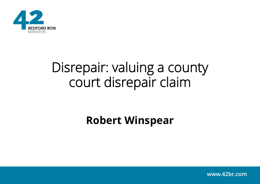

# Disrepair: valuing a county court disrepair claim

#### **Robert Winspear**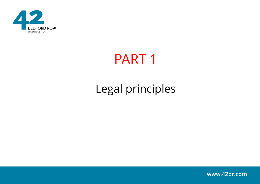

# PART 1

# Legal principles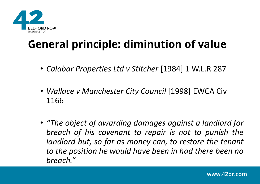

## **General principle: diminution of value**

- *Calabar Properties Ltd v Stitcher* [1984] 1 W.L.R 287
- *Wallace v Manchester City Council* [1998] EWCA Civ 1166
- *"The object of awarding damages against a landlord for breach of his covenant to repair is not to punish the landlord but, so far as money can, to restore the tenant to the position he would have been in had there been no breach."*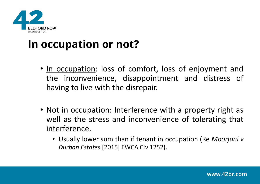

#### **In occupation or not?**

- In occupation: loss of comfort, loss of enjoyment and the inconvenience, disappointment and distress of having to live with the disrepair.
- Not in occupation: Interference with a property right as well as the stress and inconvenience of tolerating that interference.
	- Usually lower sum than if tenant in occupation (Re *Moorjani v Durban Estates* [2015] EWCA Civ 1252).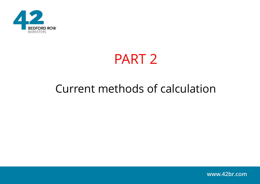

# PART 2

#### Current methods of calculation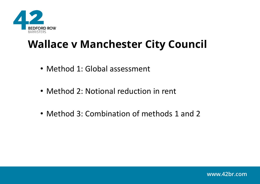

### **Wallace v Manchester City Council**

- Method 1: Global assessment
- Method 2: Notional reduction in rent
- Method 3: Combination of methods 1 and 2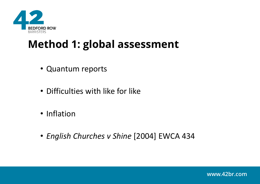

## **Method 1: global assessment**

- Quantum reports
- Difficulties with like for like
- Inflation
- *English Churches v Shine* [2004] EWCA 434

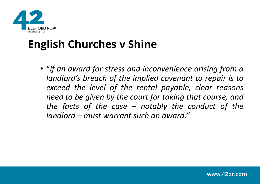

## **English Churches v Shine**

• "*if an award for stress and inconvenience arising from a landlord's breach of the implied covenant to repair is to exceed the level of the rental payable, clear reasons need to be given by the court for taking that course, and the facts of the case – notably the conduct of the landlord – must warrant such an award."*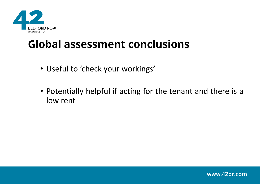

#### **Global assessment conclusions**

- Useful to 'check your workings'
- Potentially helpful if acting for the tenant and there is a low rent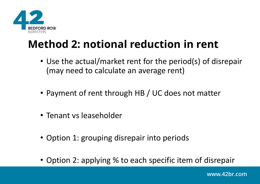

## **Method 2: notional reduction in rent**

- Use the actual/market rent for the period(s) of disrepair (may need to calculate an average rent)
- Payment of rent through HB / UC does not matter
- Tenant vs leaseholder
- Option 1: grouping disrepair into periods
- Option 2: applying % to each specific item of disrepair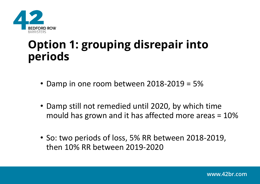

### **Option 1: grouping disrepair into periods**

- Damp in one room between 2018-2019 = 5%
- Damp still not remedied until 2020, by which time mould has grown and it has affected more areas = 10%
- So: two periods of loss, 5% RR between 2018-2019, then 10% RR between 2019-2020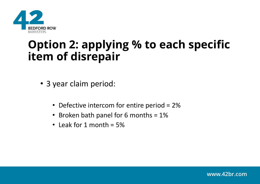

#### **Option 2: applying % to each specific item of disrepair**

- 3 year claim period:
	- Defective intercom for entire period = 2%
	- Broken bath panel for 6 months = 1%
	- Leak for 1 month  $= 5\%$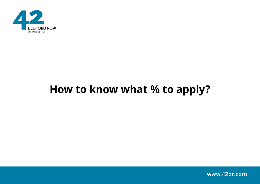

### **How to know what % to apply?**

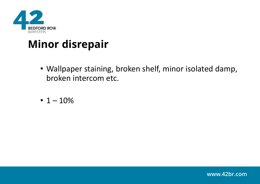

### **Minor disrepair**

- Wallpaper staining, broken shelf, minor isolated damp, broken intercom etc.
- $1 10%$

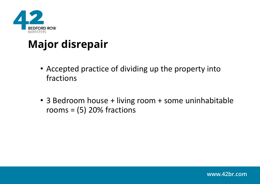

## **Major disrepair**

- Accepted practice of dividing up the property into fractions
- 3 Bedroom house + living room + some uninhabitable rooms =  $(5)$  20% fractions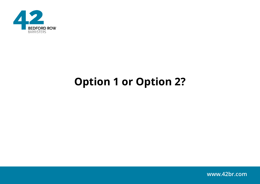

# **Option 1 or Option 2?**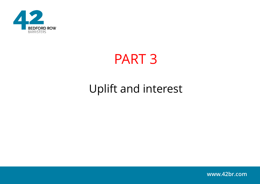

# PART 3

## Uplift and interest